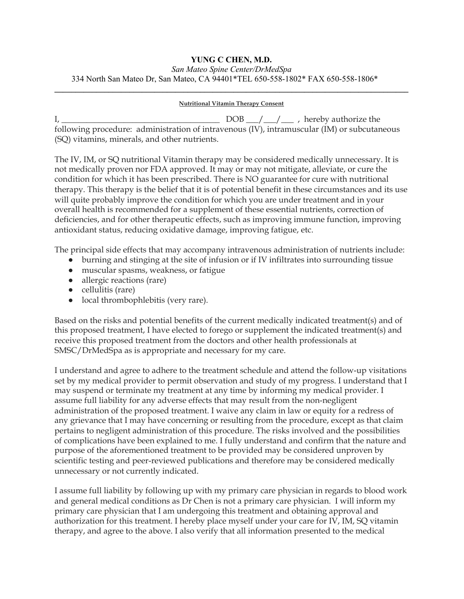## **YUNG C CHEN, M.D.**

## *San Mateo Spine Center/DrMedSpa* 334 North San Mateo Dr, San Mateo, CA 94401\*TEL 650-558-1802\* FAX 650-558-1806\* **\_\_\_\_\_\_\_\_\_\_\_\_\_\_\_\_\_\_\_\_\_\_\_\_\_\_\_\_\_\_\_\_\_\_\_\_\_\_\_\_\_\_\_\_\_\_\_\_\_\_\_\_\_\_\_\_\_\_\_\_\_\_\_\_\_\_\_\_\_\_\_\_\_\_\_\_\_\_\_\_\_\_\_\_\_**

## **Nutritional Vitamin Therapy Consent**

 $I, \underline{\hspace{1cm}}$  DOB  $\underline{\hspace{1cm}}$   $\underline{\hspace{1cm}}$  , hereby authorize the following procedure: administration of intravenous (IV), intramuscular (IM) or subcutaneous (SQ) vitamins, minerals, and other nutrients.

The IV, IM, or SQ nutritional Vitamin therapy may be considered medically unnecessary. It is not medically proven nor FDA approved. It may or may not mitigate, alleviate, or cure the condition for which it has been prescribed. There is NO guarantee for cure with nutritional therapy. This therapy is the belief that it is of potential benefit in these circumstances and its use will quite probably improve the condition for which you are under treatment and in your overall health is recommended for a supplement of these essential nutrients, correction of deficiencies, and for other therapeutic effects, such as improving immune function, improving antioxidant status, reducing oxidative damage, improving fatigue, etc.

The principal side effects that may accompany intravenous administration of nutrients include:

- burning and stinging at the site of infusion or if IV infiltrates into surrounding tissue
- muscular spasms, weakness, or fatigue
- allergic reactions (rare)
- cellulitis (rare)
- local thrombophlebitis (very rare).

Based on the risks and potential benefits of the current medically indicated treatment(s) and of this proposed treatment, I have elected to forego or supplement the indicated treatment(s) and receive this proposed treatment from the doctors and other health professionals at SMSC/DrMedSpa as is appropriate and necessary for my care.

I understand and agree to adhere to the treatment schedule and attend the follow-up visitations set by my medical provider to permit observation and study of my progress. I understand that I may suspend or terminate my treatment at any time by informing my medical provider. I assume full liability for any adverse effects that may result from the non-negligent administration of the proposed treatment. I waive any claim in law or equity for a redress of any grievance that I may have concerning or resulting from the procedure, except as that claim pertains to negligent administration of this procedure. The risks involved and the possibilities of complications have been explained to me. I fully understand and confirm that the nature and purpose of the aforementioned treatment to be provided may be considered unproven by scientific testing and peer-reviewed publications and therefore may be considered medically unnecessary or not currently indicated.

I assume full liability by following up with my primary care physician in regards to blood work and general medical conditions as Dr Chen is not a primary care physician. I will inform my primary care physician that I am undergoing this treatment and obtaining approval and authorization for this treatment. I hereby place myself under your care for IV, IM, SQ vitamin therapy, and agree to the above. I also verify that all information presented to the medical